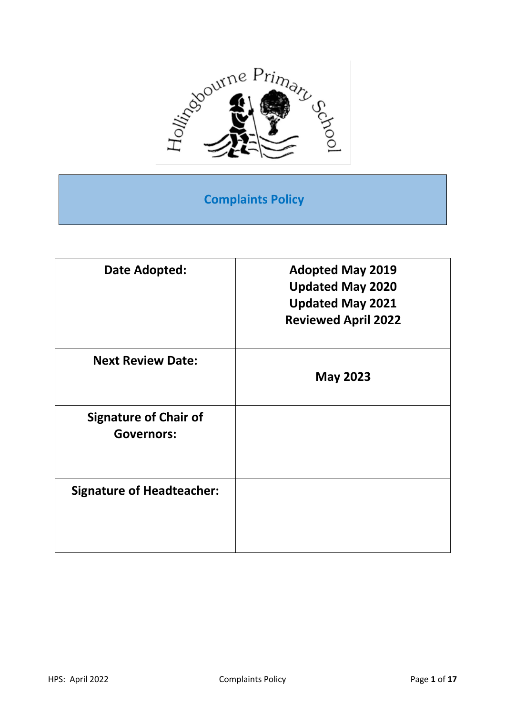

**Complaints Policy**

| <b>Adopted May 2019</b>    |
|----------------------------|
| <b>Updated May 2020</b>    |
| <b>Updated May 2021</b>    |
| <b>Reviewed April 2022</b> |
|                            |
| <b>May 2023</b>            |
|                            |
|                            |
|                            |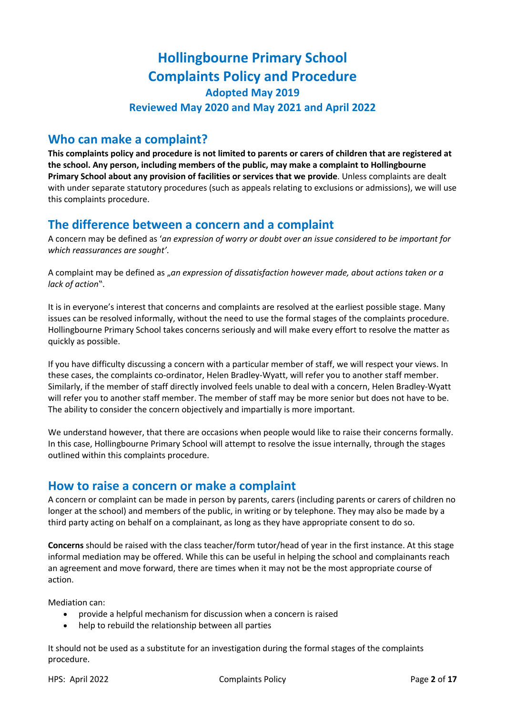# **Hollingbourne Primary School Complaints Policy and Procedure Adopted May 2019 Reviewed May 2020 and May 2021 and April 2022**

### **Who can make a complaint?**

**This complaints policy and procedure is not limited to parents or carers of children that are registered at the school. Any person, including members of the public, may make a complaint to Hollingbourne Primary School about any provision of facilities or services that we provide**. Unless complaints are dealt with under separate statutory procedures (such as appeals relating to exclusions or admissions), we will use this complaints procedure.

### **The difference between a concern and a complaint**

A concern may be defined as '*an expression of worry or doubt over an issue considered to be important for which reassurances are sought'*.

A complaint may be defined as "*an expression of dissatisfaction however made, about actions taken or a lack of action*".

It is in everyone's interest that concerns and complaints are resolved at the earliest possible stage. Many issues can be resolved informally, without the need to use the formal stages of the complaints procedure. Hollingbourne Primary School takes concerns seriously and will make every effort to resolve the matter as quickly as possible.

If you have difficulty discussing a concern with a particular member of staff, we will respect your views. In these cases, the complaints co-ordinator, Helen Bradley-Wyatt, will refer you to another staff member. Similarly, if the member of staff directly involved feels unable to deal with a concern, Helen Bradley-Wyatt will refer you to another staff member. The member of staff may be more senior but does not have to be. The ability to consider the concern objectively and impartially is more important.

We understand however, that there are occasions when people would like to raise their concerns formally. In this case, Hollingbourne Primary School will attempt to resolve the issue internally, through the stages outlined within this complaints procedure.

#### **How to raise a concern or make a complaint**

A concern or complaint can be made in person by parents, carers (including parents or carers of children no longer at the school) and members of the public, in writing or by telephone. They may also be made by a third party acting on behalf on a complainant, as long as they have appropriate consent to do so.

**Concerns** should be raised with the class teacher/form tutor/head of year in the first instance. At this stage informal mediation may be offered. While this can be useful in helping the school and complainants reach an agreement and move forward, there are times when it may not be the most appropriate course of action.

Mediation can:

- provide a helpful mechanism for discussion when a concern is raised
- help to rebuild the relationship between all parties

It should not be used as a substitute for an investigation during the formal stages of the complaints procedure.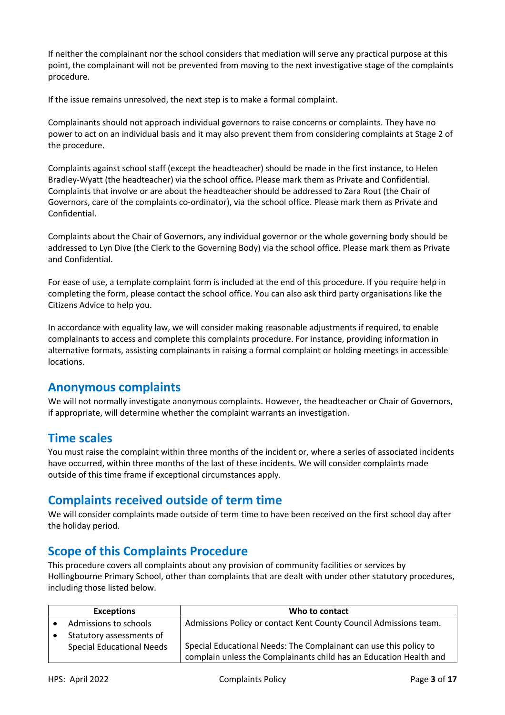If neither the complainant nor the school considers that mediation will serve any practical purpose at this point, the complainant will not be prevented from moving to the next investigative stage of the complaints procedure.

If the issue remains unresolved, the next step is to make a formal complaint.

Complainants should not approach individual governors to raise concerns or complaints. They have no power to act on an individual basis and it may also prevent them from considering complaints at Stage 2 of the procedure.

Complaints against school staff (except the headteacher) should be made in the first instance, to Helen Bradley-Wyatt (the headteacher) via the school office*.* Please mark them as Private and Confidential. Complaints that involve or are about the headteacher should be addressed to Zara Rout (the Chair of Governors, care of the complaints co-ordinator), via the school office. Please mark them as Private and Confidential.

Complaints about the Chair of Governors, any individual governor or the whole governing body should be addressed to Lyn Dive (the Clerk to the Governing Body) via the school office. Please mark them as Private and Confidential.

For ease of use, a template complaint form is included at the end of this procedure. If you require help in completing the form, please contact the school office. You can also ask third party organisations like the Citizens Advice to help you.

In accordance with equality law, we will consider making reasonable adjustments if required, to enable complainants to access and complete this complaints procedure. For instance, providing information in alternative formats, assisting complainants in raising a formal complaint or holding meetings in accessible locations.

#### **Anonymous complaints**

We will not normally investigate anonymous complaints. However, the headteacher or Chair of Governors, if appropriate, will determine whether the complaint warrants an investigation.

#### **Time scales**

You must raise the complaint within three months of the incident or, where a series of associated incidents have occurred, within three months of the last of these incidents. We will consider complaints made outside of this time frame if exceptional circumstances apply.

#### **Complaints received outside of term time**

We will consider complaints made outside of term time to have been received on the first school day after the holiday period.

## **Scope of this Complaints Procedure**

This procedure covers all complaints about any provision of community facilities or services by Hollingbourne Primary School, other than complaints that are dealt with under other statutory procedures, including those listed below.

| <b>Exceptions</b>                | Who to contact                                                     |
|----------------------------------|--------------------------------------------------------------------|
| Admissions to schools            | Admissions Policy or contact Kent County Council Admissions team.  |
| Statutory assessments of         |                                                                    |
| <b>Special Educational Needs</b> | Special Educational Needs: The Complainant can use this policy to  |
|                                  | complain unless the Complainants child has an Education Health and |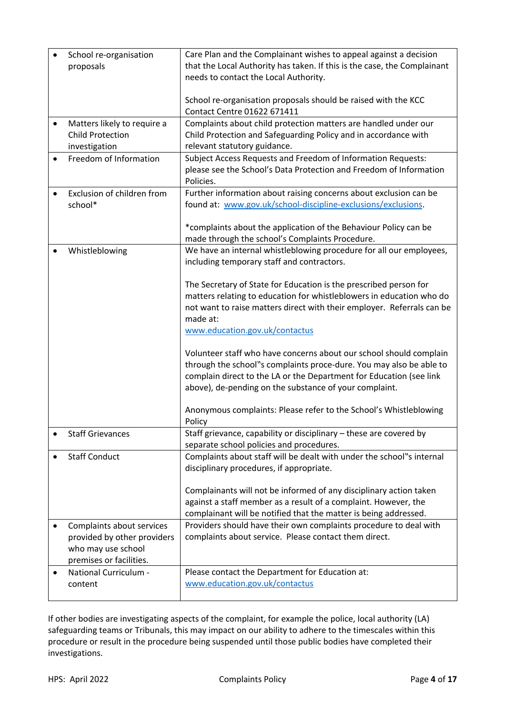|           | School re-organisation      | Care Plan and the Complainant wishes to appeal against a decision        |
|-----------|-----------------------------|--------------------------------------------------------------------------|
|           | proposals                   | that the Local Authority has taken. If this is the case, the Complainant |
|           |                             | needs to contact the Local Authority.                                    |
|           |                             |                                                                          |
|           |                             | School re-organisation proposals should be raised with the KCC           |
|           |                             | Contact Centre 01622 671411                                              |
|           |                             |                                                                          |
| ٠         | Matters likely to require a | Complaints about child protection matters are handled under our          |
|           | <b>Child Protection</b>     | Child Protection and Safeguarding Policy and in accordance with          |
|           | investigation               | relevant statutory guidance.                                             |
| $\bullet$ | Freedom of Information      | Subject Access Requests and Freedom of Information Requests:             |
|           |                             | please see the School's Data Protection and Freedom of Information       |
|           |                             | Policies.                                                                |
|           |                             |                                                                          |
|           | Exclusion of children from  | Further information about raising concerns about exclusion can be        |
|           | school*                     | found at: www.gov.uk/school-discipline-exclusions/exclusions.            |
|           |                             |                                                                          |
|           |                             | *complaints about the application of the Behaviour Policy can be         |
|           |                             | made through the school's Complaints Procedure.                          |
|           | Whistleblowing              | We have an internal whistleblowing procedure for all our employees,      |
|           |                             |                                                                          |
|           |                             | including temporary staff and contractors.                               |
|           |                             |                                                                          |
|           |                             | The Secretary of State for Education is the prescribed person for        |
|           |                             | matters relating to education for whistleblowers in education who do     |
|           |                             | not want to raise matters direct with their employer. Referrals can be   |
|           |                             | made at:                                                                 |
|           |                             | www.education.gov.uk/contactus                                           |
|           |                             |                                                                          |
|           |                             |                                                                          |
|           |                             | Volunteer staff who have concerns about our school should complain       |
|           |                             | through the school"s complaints proce-dure. You may also be able to      |
|           |                             | complain direct to the LA or the Department for Education (see link      |
|           |                             | above), de-pending on the substance of your complaint.                   |
|           |                             |                                                                          |
|           |                             | Anonymous complaints: Please refer to the School's Whistleblowing        |
|           |                             | Policy                                                                   |
|           | <b>Staff Grievances</b>     | Staff grievance, capability or disciplinary - these are covered by       |
|           |                             | separate school policies and procedures.                                 |
|           |                             |                                                                          |
|           | <b>Staff Conduct</b>        | Complaints about staff will be dealt with under the school"s internal    |
|           |                             | disciplinary procedures, if appropriate.                                 |
|           |                             |                                                                          |
|           |                             | Complainants will not be informed of any disciplinary action taken       |
|           |                             | against a staff member as a result of a complaint. However, the          |
|           |                             | complainant will be notified that the matter is being addressed.         |
|           |                             |                                                                          |
| ٠         | Complaints about services   | Providers should have their own complaints procedure to deal with        |
|           | provided by other providers | complaints about service. Please contact them direct.                    |
|           | who may use school          |                                                                          |
|           | premises or facilities.     |                                                                          |
| $\bullet$ | National Curriculum -       | Please contact the Department for Education at:                          |
|           | content                     | www.education.gov.uk/contactus                                           |
|           |                             |                                                                          |
|           |                             |                                                                          |

If other bodies are investigating aspects of the complaint, for example the police, local authority (LA) safeguarding teams or Tribunals, this may impact on our ability to adhere to the timescales within this procedure or result in the procedure being suspended until those public bodies have completed their investigations.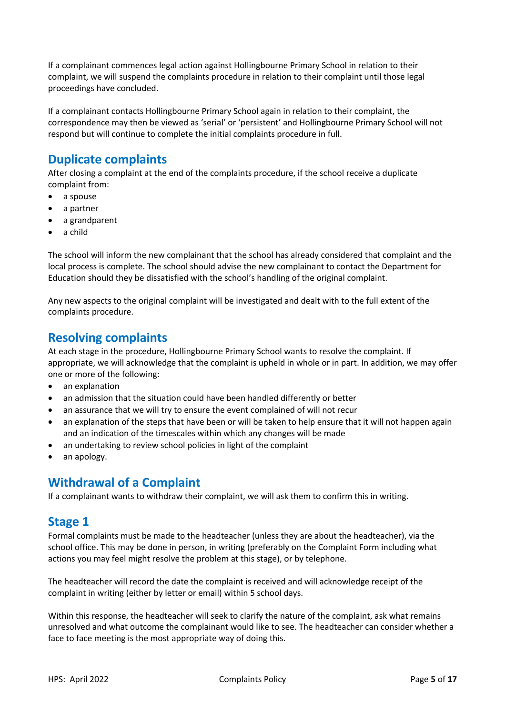If a complainant commences legal action against Hollingbourne Primary School in relation to their complaint, we will suspend the complaints procedure in relation to their complaint until those legal proceedings have concluded.

If a complainant contacts Hollingbourne Primary School again in relation to their complaint, the correspondence may then be viewed as 'serial' or 'persistent' and Hollingbourne Primary School will not respond but will continue to complete the initial complaints procedure in full.

# **Duplicate complaints**

After closing a complaint at the end of the complaints procedure, if the school receive a duplicate complaint from:

- a spouse
- a partner
- a grandparent
- a child

The school will inform the new complainant that the school has already considered that complaint and the local process is complete. The school should advise the new complainant to contact the Department for Education should they be dissatisfied with the school's handling of the original complaint.

Any new aspects to the original complaint will be investigated and dealt with to the full extent of the complaints procedure.

### **Resolving complaints**

At each stage in the procedure, Hollingbourne Primary School wants to resolve the complaint. If appropriate, we will acknowledge that the complaint is upheld in whole or in part. In addition, we may offer one or more of the following:

- an explanation
- an admission that the situation could have been handled differently or better
- an assurance that we will try to ensure the event complained of will not recur
- an explanation of the steps that have been or will be taken to help ensure that it will not happen again and an indication of the timescales within which any changes will be made
- an undertaking to review school policies in light of the complaint
- an apology.

#### **Withdrawal of a Complaint**

If a complainant wants to withdraw their complaint, we will ask them to confirm this in writing.

## **Stage 1**

Formal complaints must be made to the headteacher (unless they are about the headteacher), via the school office. This may be done in person, in writing (preferably on the Complaint Form including what actions you may feel might resolve the problem at this stage), or by telephone.

The headteacher will record the date the complaint is received and will acknowledge receipt of the complaint in writing (either by letter or email) within 5 school days.

Within this response, the headteacher will seek to clarify the nature of the complaint, ask what remains unresolved and what outcome the complainant would like to see. The headteacher can consider whether a face to face meeting is the most appropriate way of doing this.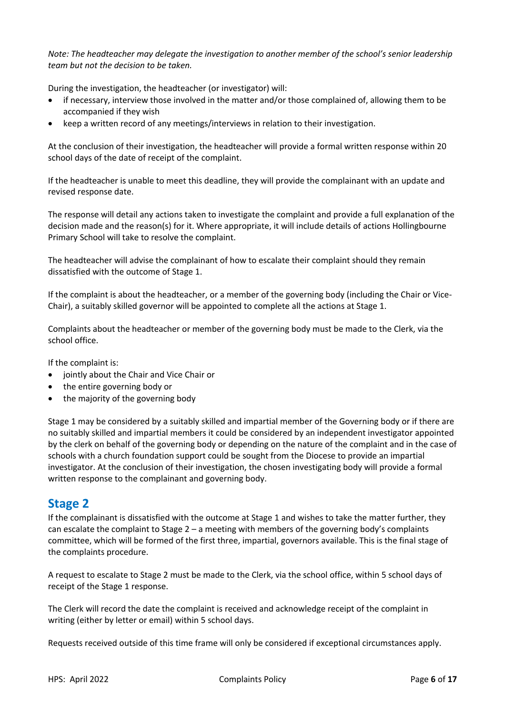*Note: The headteacher may delegate the investigation to another member of the school's senior leadership team but not the decision to be taken.* 

During the investigation, the headteacher (or investigator) will:

- if necessary, interview those involved in the matter and/or those complained of, allowing them to be accompanied if they wish
- keep a written record of any meetings/interviews in relation to their investigation.

At the conclusion of their investigation, the headteacher will provide a formal written response within 20 school days of the date of receipt of the complaint.

If the headteacher is unable to meet this deadline, they will provide the complainant with an update and revised response date.

The response will detail any actions taken to investigate the complaint and provide a full explanation of the decision made and the reason(s) for it. Where appropriate, it will include details of actions Hollingbourne Primary School will take to resolve the complaint.

The headteacher will advise the complainant of how to escalate their complaint should they remain dissatisfied with the outcome of Stage 1.

If the complaint is about the headteacher, or a member of the governing body (including the Chair or Vice-Chair), a suitably skilled governor will be appointed to complete all the actions at Stage 1.

Complaints about the headteacher or member of the governing body must be made to the Clerk, via the school office.

If the complaint is:

- jointly about the Chair and Vice Chair or
- the entire governing body or
- the majority of the governing body

Stage 1 may be considered by a suitably skilled and impartial member of the Governing body or if there are no suitably skilled and impartial members it could be considered by an independent investigator appointed by the clerk on behalf of the governing body or depending on the nature of the complaint and in the case of schools with a church foundation support could be sought from the Diocese to provide an impartial investigator. At the conclusion of their investigation, the chosen investigating body will provide a formal written response to the complainant and governing body.

#### **Stage 2**

If the complainant is dissatisfied with the outcome at Stage 1 and wishes to take the matter further, they can escalate the complaint to Stage 2 – a meeting with members of the governing body's complaints committee, which will be formed of the first three, impartial, governors available. This is the final stage of the complaints procedure.

A request to escalate to Stage 2 must be made to the Clerk, via the school office, within 5 school days of receipt of the Stage 1 response.

The Clerk will record the date the complaint is received and acknowledge receipt of the complaint in writing (either by letter or email) within 5 school days.

Requests received outside of this time frame will only be considered if exceptional circumstances apply.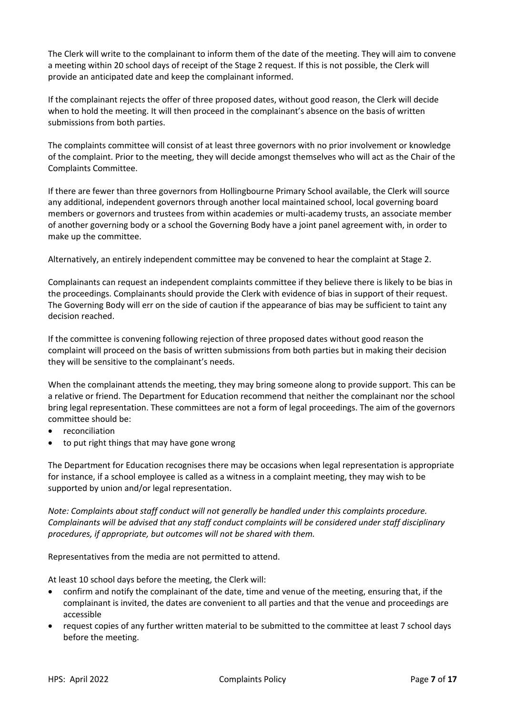The Clerk will write to the complainant to inform them of the date of the meeting. They will aim to convene a meeting within 20 school days of receipt of the Stage 2 request. If this is not possible, the Clerk will provide an anticipated date and keep the complainant informed.

If the complainant rejects the offer of three proposed dates, without good reason, the Clerk will decide when to hold the meeting. It will then proceed in the complainant's absence on the basis of written submissions from both parties.

The complaints committee will consist of at least three governors with no prior involvement or knowledge of the complaint. Prior to the meeting, they will decide amongst themselves who will act as the Chair of the Complaints Committee.

If there are fewer than three governors from Hollingbourne Primary School available, the Clerk will source any additional, independent governors through another local maintained school, local governing board members or governors and trustees from within academies or multi-academy trusts, an associate member of another governing body or a school the Governing Body have a joint panel agreement with, in order to make up the committee.

Alternatively, an entirely independent committee may be convened to hear the complaint at Stage 2.

Complainants can request an independent complaints committee if they believe there is likely to be bias in the proceedings. Complainants should provide the Clerk with evidence of bias in support of their request. The Governing Body will err on the side of caution if the appearance of bias may be sufficient to taint any decision reached.

If the committee is convening following rejection of three proposed dates without good reason the complaint will proceed on the basis of written submissions from both parties but in making their decision they will be sensitive to the complainant's needs.

When the complainant attends the meeting, they may bring someone along to provide support. This can be a relative or friend. The Department for Education recommend that neither the complainant nor the school bring legal representation. These committees are not a form of legal proceedings. The aim of the governors committee should be:

- reconciliation
- to put right things that may have gone wrong

The Department for Education recognises there may be occasions when legal representation is appropriate for instance, if a school employee is called as a witness in a complaint meeting, they may wish to be supported by union and/or legal representation.

*Note: Complaints about staff conduct will not generally be handled under this complaints procedure. Complainants will be advised that any staff conduct complaints will be considered under staff disciplinary procedures, if appropriate, but outcomes will not be shared with them.* 

Representatives from the media are not permitted to attend.

At least 10 school days before the meeting, the Clerk will:

- confirm and notify the complainant of the date, time and venue of the meeting, ensuring that, if the complainant is invited, the dates are convenient to all parties and that the venue and proceedings are accessible
- request copies of any further written material to be submitted to the committee at least 7 school days before the meeting.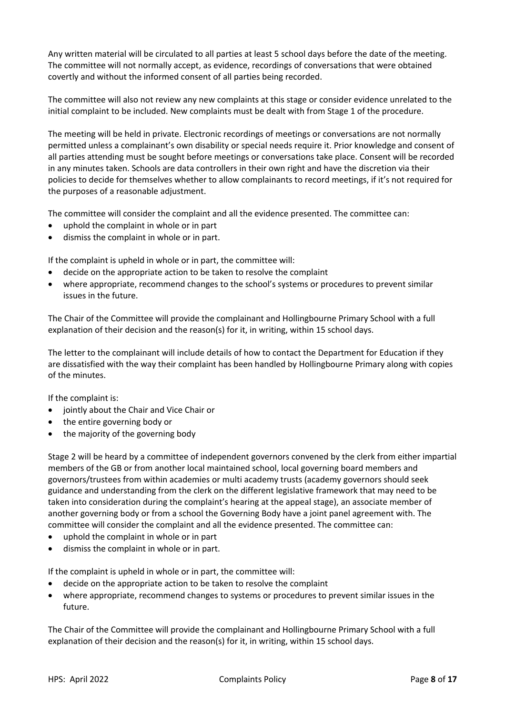Any written material will be circulated to all parties at least 5 school days before the date of the meeting. The committee will not normally accept, as evidence, recordings of conversations that were obtained covertly and without the informed consent of all parties being recorded.

The committee will also not review any new complaints at this stage or consider evidence unrelated to the initial complaint to be included. New complaints must be dealt with from Stage 1 of the procedure.

The meeting will be held in private. Electronic recordings of meetings or conversations are not normally permitted unless a complainant's own disability or special needs require it. Prior knowledge and consent of all parties attending must be sought before meetings or conversations take place. Consent will be recorded in any minutes taken. Schools are data controllers in their own right and have the discretion via their policies to decide for themselves whether to allow complainants to record meetings, if it's not required for the purposes of a reasonable adjustment.

The committee will consider the complaint and all the evidence presented. The committee can:

- uphold the complaint in whole or in part
- dismiss the complaint in whole or in part.

If the complaint is upheld in whole or in part, the committee will:

- decide on the appropriate action to be taken to resolve the complaint
- where appropriate, recommend changes to the school's systems or procedures to prevent similar issues in the future.

The Chair of the Committee will provide the complainant and Hollingbourne Primary School with a full explanation of their decision and the reason(s) for it, in writing, within 15 school days.

The letter to the complainant will include details of how to contact the Department for Education if they are dissatisfied with the way their complaint has been handled by Hollingbourne Primary along with copies of the minutes.

If the complaint is:

- jointly about the Chair and Vice Chair or
- the entire governing body or
- the majority of the governing body

Stage 2 will be heard by a committee of independent governors convened by the clerk from either impartial members of the GB or from another local maintained school, local governing board members and governors/trustees from within academies or multi academy trusts (academy governors should seek guidance and understanding from the clerk on the different legislative framework that may need to be taken into consideration during the complaint's hearing at the appeal stage), an associate member of another governing body or from a school the Governing Body have a joint panel agreement with. The committee will consider the complaint and all the evidence presented. The committee can:

- uphold the complaint in whole or in part
- dismiss the complaint in whole or in part.

If the complaint is upheld in whole or in part, the committee will:

- decide on the appropriate action to be taken to resolve the complaint
- where appropriate, recommend changes to systems or procedures to prevent similar issues in the future.

The Chair of the Committee will provide the complainant and Hollingbourne Primary School with a full explanation of their decision and the reason(s) for it, in writing, within 15 school days.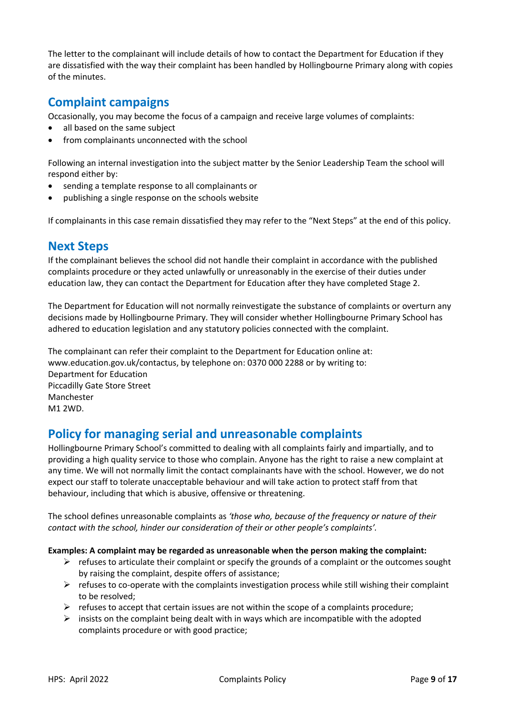The letter to the complainant will include details of how to contact the Department for Education if they are dissatisfied with the way their complaint has been handled by Hollingbourne Primary along with copies of the minutes.

## **Complaint campaigns**

Occasionally, you may become the focus of a campaign and receive large volumes of complaints:

- all based on the same subject
- from complainants unconnected with the school

Following an internal investigation into the subject matter by the Senior Leadership Team the school will respond either by:

- sending a template response to all complainants or
- publishing a single response on the schools website

If complainants in this case remain dissatisfied they may refer to the "Next Steps" at the end of this policy.

### **Next Steps**

If the complainant believes the school did not handle their complaint in accordance with the published complaints procedure or they acted unlawfully or unreasonably in the exercise of their duties under education law, they can contact the Department for Education after they have completed Stage 2.

The Department for Education will not normally reinvestigate the substance of complaints or overturn any decisions made by Hollingbourne Primary. They will consider whether Hollingbourne Primary School has adhered to education legislation and any statutory policies connected with the complaint.

The complainant can refer their complaint to the Department for Education online at: www.education.gov.uk/contactus, by telephone on: 0370 000 2288 or by writing to: Department for Education Piccadilly Gate Store Street Manchester M1 2WD.

#### **Policy for managing serial and unreasonable complaints**

Hollingbourne Primary School's committed to dealing with all complaints fairly and impartially, and to providing a high quality service to those who complain. Anyone has the right to raise a new complaint at any time. We will not normally limit the contact complainants have with the school. However, we do not expect our staff to tolerate unacceptable behaviour and will take action to protect staff from that behaviour, including that which is abusive, offensive or threatening.

The school defines unreasonable complaints as *'those who, because of the frequency or nature of their contact with the school, hinder our consideration of their or other people's complaints'.*

#### **Examples: A complaint may be regarded as unreasonable when the person making the complaint:**

- $\triangleright$  refuses to articulate their complaint or specify the grounds of a complaint or the outcomes sought by raising the complaint, despite offers of assistance;
- $\triangleright$  refuses to co-operate with the complaints investigation process while still wishing their complaint to be resolved;
- $\triangleright$  refuses to accept that certain issues are not within the scope of a complaints procedure;
- $\triangleright$  insists on the complaint being dealt with in ways which are incompatible with the adopted complaints procedure or with good practice;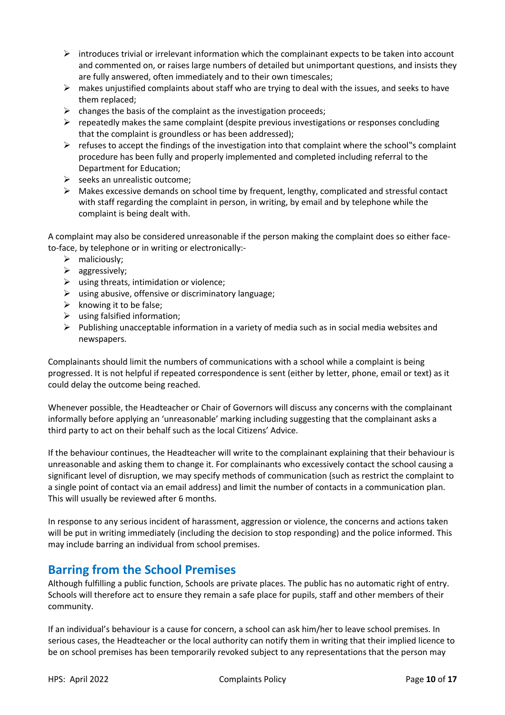- $\triangleright$  introduces trivial or irrelevant information which the complainant expects to be taken into account and commented on, or raises large numbers of detailed but unimportant questions, and insists they are fully answered, often immediately and to their own timescales;
- $\triangleright$  makes unjustified complaints about staff who are trying to deal with the issues, and seeks to have them replaced;
- $\triangleright$  changes the basis of the complaint as the investigation proceeds;
- $\triangleright$  repeatedly makes the same complaint (despite previous investigations or responses concluding that the complaint is groundless or has been addressed);
- $\triangleright$  refuses to accept the findings of the investigation into that complaint where the school"s complaint procedure has been fully and properly implemented and completed including referral to the Department for Education;
- $\triangleright$  seeks an unrealistic outcome;
- $\triangleright$  Makes excessive demands on school time by frequent, lengthy, complicated and stressful contact with staff regarding the complaint in person, in writing, by email and by telephone while the complaint is being dealt with.

A complaint may also be considered unreasonable if the person making the complaint does so either faceto-face, by telephone or in writing or electronically:-

- $\triangleright$  maliciously;
- $\triangleright$  aggressively;
- $\triangleright$  using threats, intimidation or violence;
- $\triangleright$  using abusive, offensive or discriminatory language;
- $\triangleright$  knowing it to be false;
- $\triangleright$  using falsified information;
- $\triangleright$  Publishing unacceptable information in a variety of media such as in social media websites and newspapers.

Complainants should limit the numbers of communications with a school while a complaint is being progressed. It is not helpful if repeated correspondence is sent (either by letter, phone, email or text) as it could delay the outcome being reached.

Whenever possible, the Headteacher or Chair of Governors will discuss any concerns with the complainant informally before applying an 'unreasonable' marking including suggesting that the complainant asks a third party to act on their behalf such as the local Citizens' Advice.

If the behaviour continues, the Headteacher will write to the complainant explaining that their behaviour is unreasonable and asking them to change it. For complainants who excessively contact the school causing a significant level of disruption, we may specify methods of communication (such as restrict the complaint to a single point of contact via an email address) and limit the number of contacts in a communication plan. This will usually be reviewed after 6 months.

In response to any serious incident of harassment, aggression or violence, the concerns and actions taken will be put in writing immediately (including the decision to stop responding) and the police informed. This may include barring an individual from school premises.

#### **Barring from the School Premises**

Although fulfilling a public function, Schools are private places. The public has no automatic right of entry. Schools will therefore act to ensure they remain a safe place for pupils, staff and other members of their community.

If an individual's behaviour is a cause for concern, a school can ask him/her to leave school premises. In serious cases, the Headteacher or the local authority can notify them in writing that their implied licence to be on school premises has been temporarily revoked subject to any representations that the person may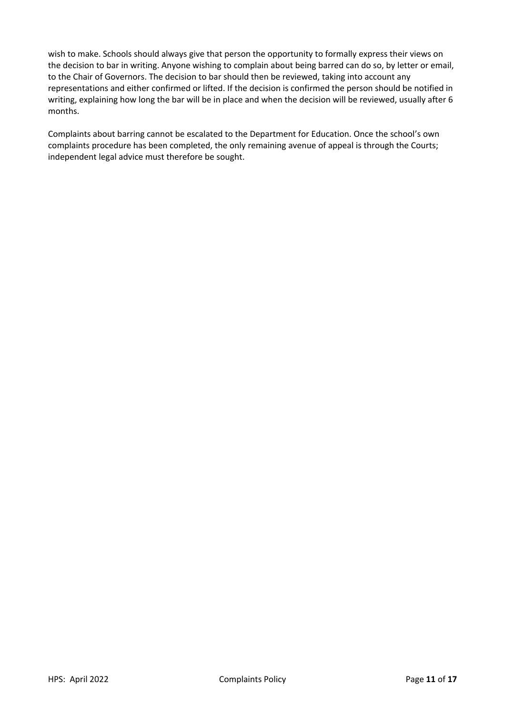wish to make. Schools should always give that person the opportunity to formally express their views on the decision to bar in writing. Anyone wishing to complain about being barred can do so, by letter or email, to the Chair of Governors. The decision to bar should then be reviewed, taking into account any representations and either confirmed or lifted. If the decision is confirmed the person should be notified in writing, explaining how long the bar will be in place and when the decision will be reviewed, usually after 6 months.

Complaints about barring cannot be escalated to the Department for Education. Once the school's own complaints procedure has been completed, the only remaining avenue of appeal is through the Courts; independent legal advice must therefore be sought.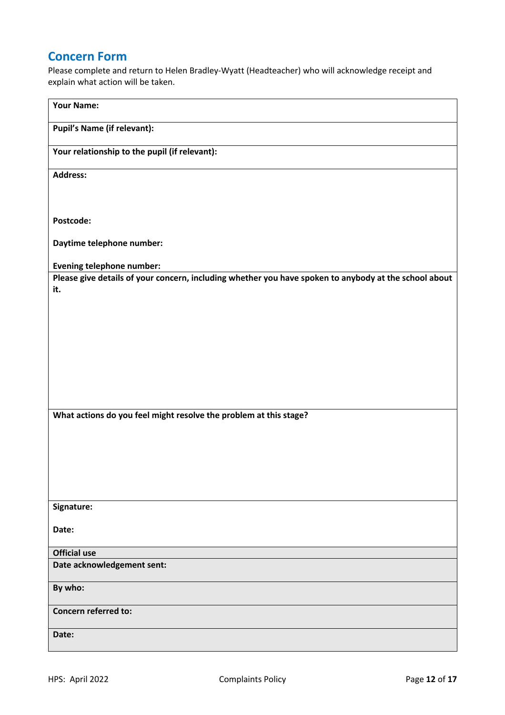## **Concern Form**

Please complete and return to Helen Bradley-Wyatt (Headteacher) who will acknowledge receipt and explain what action will be taken.

| Pupil's Name (if relevant):<br>Your relationship to the pupil (if relevant):<br><b>Address:</b><br>Postcode:<br>Daytime telephone number:<br><b>Evening telephone number:</b><br>Please give details of your concern, including whether you have spoken to anybody at the school about<br>it. |
|-----------------------------------------------------------------------------------------------------------------------------------------------------------------------------------------------------------------------------------------------------------------------------------------------|
|                                                                                                                                                                                                                                                                                               |
|                                                                                                                                                                                                                                                                                               |
|                                                                                                                                                                                                                                                                                               |
|                                                                                                                                                                                                                                                                                               |
|                                                                                                                                                                                                                                                                                               |
|                                                                                                                                                                                                                                                                                               |
|                                                                                                                                                                                                                                                                                               |
|                                                                                                                                                                                                                                                                                               |
|                                                                                                                                                                                                                                                                                               |
|                                                                                                                                                                                                                                                                                               |
|                                                                                                                                                                                                                                                                                               |
|                                                                                                                                                                                                                                                                                               |
| What actions do you feel might resolve the problem at this stage?                                                                                                                                                                                                                             |
|                                                                                                                                                                                                                                                                                               |
|                                                                                                                                                                                                                                                                                               |
|                                                                                                                                                                                                                                                                                               |
| Signature:                                                                                                                                                                                                                                                                                    |
| Date:                                                                                                                                                                                                                                                                                         |
| <b>Official use</b>                                                                                                                                                                                                                                                                           |
| Date acknowledgement sent:                                                                                                                                                                                                                                                                    |
| By who:                                                                                                                                                                                                                                                                                       |
| <b>Concern referred to:</b>                                                                                                                                                                                                                                                                   |
| Date:                                                                                                                                                                                                                                                                                         |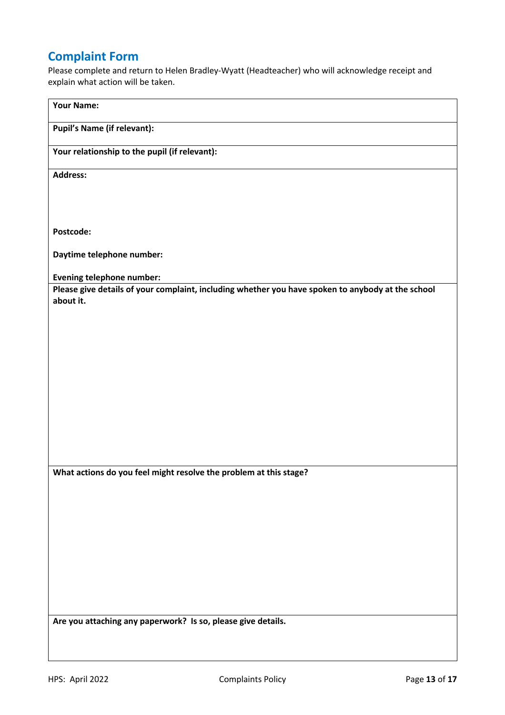# **Complaint Form**

Please complete and return to Helen Bradley-Wyatt (Headteacher) who will acknowledge receipt and explain what action will be taken.

| <b>Your Name:</b>                                                                                              |
|----------------------------------------------------------------------------------------------------------------|
| <b>Pupil's Name (if relevant):</b>                                                                             |
|                                                                                                                |
| Your relationship to the pupil (if relevant):                                                                  |
| <b>Address:</b>                                                                                                |
|                                                                                                                |
|                                                                                                                |
| Postcode:                                                                                                      |
| Daytime telephone number:                                                                                      |
| <b>Evening telephone number:</b>                                                                               |
| Please give details of your complaint, including whether you have spoken to anybody at the school<br>about it. |
|                                                                                                                |
|                                                                                                                |
|                                                                                                                |
|                                                                                                                |
|                                                                                                                |
|                                                                                                                |
|                                                                                                                |
|                                                                                                                |
|                                                                                                                |
| What actions do you feel might resolve the problem at this stage?                                              |
|                                                                                                                |
|                                                                                                                |
|                                                                                                                |
|                                                                                                                |
|                                                                                                                |
|                                                                                                                |
|                                                                                                                |
| Are you attaching any paperwork? Is so, please give details.                                                   |
|                                                                                                                |
|                                                                                                                |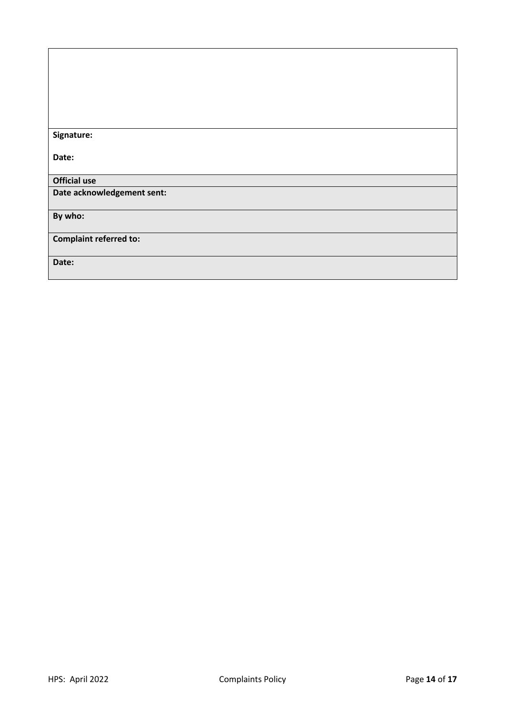| Signature:                    |
|-------------------------------|
|                               |
| Date:                         |
|                               |
|                               |
| <b>Official use</b>           |
| Date acknowledgement sent:    |
|                               |
|                               |
| By who:                       |
|                               |
| <b>Complaint referred to:</b> |
|                               |
|                               |
| Date:                         |
|                               |
|                               |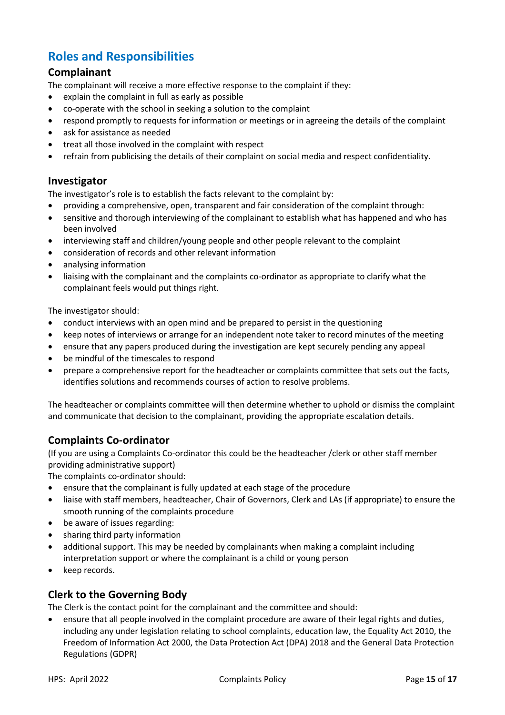# **Roles and Responsibilities**

#### **Complainant**

The complainant will receive a more effective response to the complaint if they:

- explain the complaint in full as early as possible
- co-operate with the school in seeking a solution to the complaint
- respond promptly to requests for information or meetings or in agreeing the details of the complaint
- ask for assistance as needed
- treat all those involved in the complaint with respect
- refrain from publicising the details of their complaint on social media and respect confidentiality.

#### **Investigator**

The investigator's role is to establish the facts relevant to the complaint by:

- providing a comprehensive, open, transparent and fair consideration of the complaint through:
- sensitive and thorough interviewing of the complainant to establish what has happened and who has been involved
- interviewing staff and children/young people and other people relevant to the complaint
- consideration of records and other relevant information
- analysing information
- liaising with the complainant and the complaints co-ordinator as appropriate to clarify what the complainant feels would put things right.

The investigator should:

- conduct interviews with an open mind and be prepared to persist in the questioning
- keep notes of interviews or arrange for an independent note taker to record minutes of the meeting
- ensure that any papers produced during the investigation are kept securely pending any appeal
- be mindful of the timescales to respond
- prepare a comprehensive report for the headteacher or complaints committee that sets out the facts, identifies solutions and recommends courses of action to resolve problems.

The headteacher or complaints committee will then determine whether to uphold or dismiss the complaint and communicate that decision to the complainant, providing the appropriate escalation details.

#### **Complaints Co-ordinator**

(If you are using a Complaints Co-ordinator this could be the headteacher /clerk or other staff member providing administrative support)

The complaints co-ordinator should:

- ensure that the complainant is fully updated at each stage of the procedure
- liaise with staff members, headteacher, Chair of Governors, Clerk and LAs (if appropriate) to ensure the smooth running of the complaints procedure
- be aware of issues regarding:
- sharing third party information
- additional support. This may be needed by complainants when making a complaint including interpretation support or where the complainant is a child or young person
- keep records.

#### **Clerk to the Governing Body**

The Clerk is the contact point for the complainant and the committee and should:

• ensure that all people involved in the complaint procedure are aware of their legal rights and duties, including any under legislation relating to school complaints, education law, the Equality Act 2010, the Freedom of Information Act 2000, the Data Protection Act (DPA) 2018 and the General Data Protection Regulations (GDPR)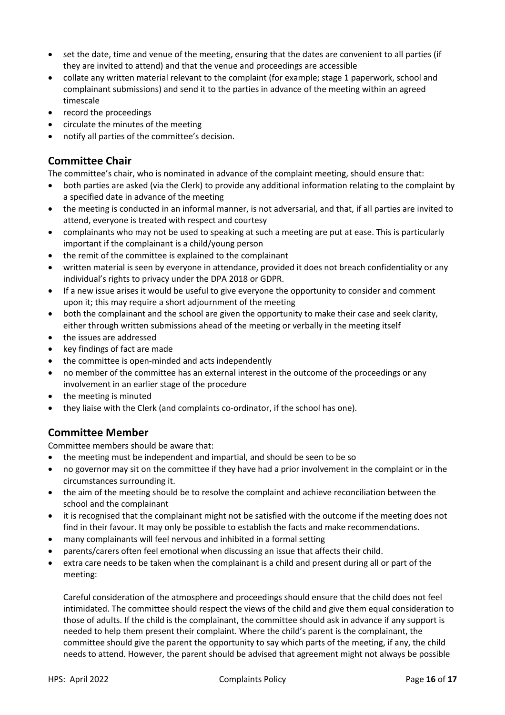- set the date, time and venue of the meeting, ensuring that the dates are convenient to all parties (if they are invited to attend) and that the venue and proceedings are accessible
- collate any written material relevant to the complaint (for example; stage 1 paperwork, school and complainant submissions) and send it to the parties in advance of the meeting within an agreed timescale
- record the proceedings
- circulate the minutes of the meeting
- notify all parties of the committee's decision.

#### **Committee Chair**

The committee's chair, who is nominated in advance of the complaint meeting, should ensure that:

- both parties are asked (via the Clerk) to provide any additional information relating to the complaint by a specified date in advance of the meeting
- the meeting is conducted in an informal manner, is not adversarial, and that, if all parties are invited to attend, everyone is treated with respect and courtesy
- complainants who may not be used to speaking at such a meeting are put at ease. This is particularly important if the complainant is a child/young person
- the remit of the committee is explained to the complainant
- written material is seen by everyone in attendance, provided it does not breach confidentiality or any individual's rights to privacy under the DPA 2018 or GDPR.
- If a new issue arises it would be useful to give everyone the opportunity to consider and comment upon it; this may require a short adjournment of the meeting
- both the complainant and the school are given the opportunity to make their case and seek clarity, either through written submissions ahead of the meeting or verbally in the meeting itself
- the issues are addressed
- key findings of fact are made
- the committee is open-minded and acts independently
- no member of the committee has an external interest in the outcome of the proceedings or any involvement in an earlier stage of the procedure
- the meeting is minuted
- they liaise with the Clerk (and complaints co-ordinator, if the school has one).

#### **Committee Member**

Committee members should be aware that:

- the meeting must be independent and impartial, and should be seen to be so
- no governor may sit on the committee if they have had a prior involvement in the complaint or in the circumstances surrounding it.
- the aim of the meeting should be to resolve the complaint and achieve reconciliation between the school and the complainant
- it is recognised that the complainant might not be satisfied with the outcome if the meeting does not find in their favour. It may only be possible to establish the facts and make recommendations.
- many complainants will feel nervous and inhibited in a formal setting
- parents/carers often feel emotional when discussing an issue that affects their child.
- extra care needs to be taken when the complainant is a child and present during all or part of the meeting:

Careful consideration of the atmosphere and proceedings should ensure that the child does not feel intimidated. The committee should respect the views of the child and give them equal consideration to those of adults. If the child is the complainant, the committee should ask in advance if any support is needed to help them present their complaint. Where the child's parent is the complainant, the committee should give the parent the opportunity to say which parts of the meeting, if any, the child needs to attend. However, the parent should be advised that agreement might not always be possible